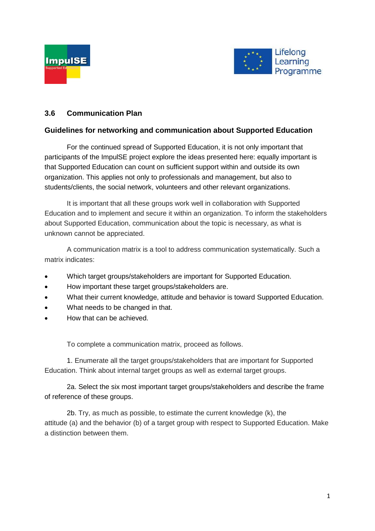



### **3.6 Communication Plan**

### **Guidelines for networking and communication about Supported Education**

For the continued spread of Supported Education, it is not only important that participants of the ImpulSE project explore the ideas presented here: equally important is that Supported Education can count on sufficient support within and outside its own organization. This applies not only to professionals and management, but also to students/clients, the social network, volunteers and other relevant organizations.

It is important that all these groups work well in collaboration with Supported Education and to implement and secure it within an organization. To inform the stakeholders about Supported Education, communication about the topic is necessary, as what is unknown cannot be appreciated.

A communication matrix is a tool to address communication systematically. Such a matrix indicates:

- Which target groups/stakeholders are important for Supported Education.
- How important these target groups/stakeholders are.
- What their current knowledge, attitude and behavior is toward Supported Education.
- What needs to be changed in that.
- How that can be achieved.

To complete a communication matrix, proceed as follows.

1. Enumerate all the target groups/stakeholders that are important for Supported Education. Think about internal target groups as well as external target groups.

2a. Select the six most important target groups/stakeholders and describe the frame of reference of these groups.

2b. Try, as much as possible, to estimate the current knowledge (k), the attitude (a) and the behavior (b) of a target group with respect to Supported Education. Make a distinction between them.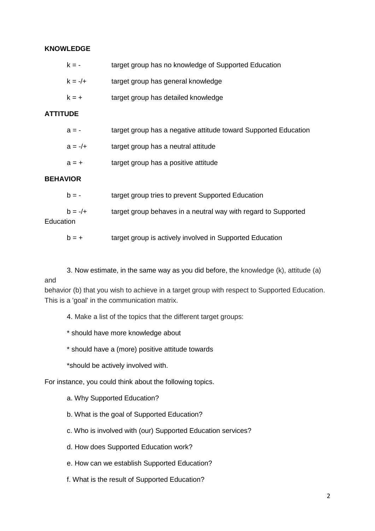### **KNOWLEDGE**

| $k = -$   | target group has no knowledge of Supported Education |
|-----------|------------------------------------------------------|
| $k = -/+$ | target group has general knowledge                   |
| $k = +$   | target group has detailed knowledge                  |

### **ATTITUDE**

| $a = -$   | target group has a negative attitude toward Supported Education |
|-----------|-----------------------------------------------------------------|
| $a = -/+$ | target group has a neutral attitude                             |
| $a = +$   | target group has a positive attitude                            |

#### **BEHAVIOR**

| $h = -$   | target group tries to prevent Supported Education              |
|-----------|----------------------------------------------------------------|
| $h = -/+$ | target group behaves in a neutral way with regard to Supported |
| Education |                                                                |

- $b = +$  target group is actively involved in Supported Education
- 3. Now estimate, in the same way as you did before, the knowledge (k), attitude (a)

### and

behavior (b) that you wish to achieve in a target group with respect to Supported Education. This is a 'goal' in the communication matrix.

4. Make a list of the topics that the different target groups:

\* should have more knowledge about

\* should have a (more) positive attitude towards

\*should be actively involved with.

For instance, you could think about the following topics.

- a. Why Supported Education?
- b. What is the goal of Supported Education?
- c. Who is involved with (our) Supported Education services?
- d. How does Supported Education work?
- e. How can we establish Supported Education?
- f. What is the result of Supported Education?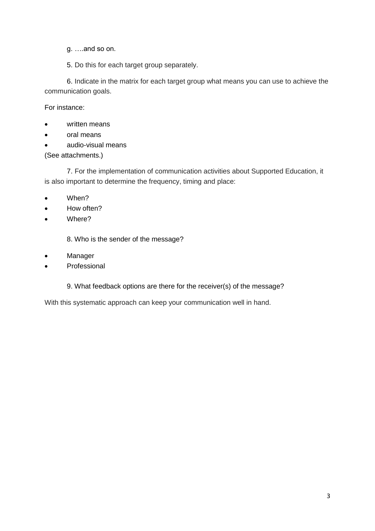- g. ….and so on.
- 5. Do this for each target group separately.

6. Indicate in the matrix for each target group what means you can use to achieve the communication goals.

For instance:

- written means
- oral means
- audio-visual means

(See attachments.)

7. For the implementation of communication activities about Supported Education, it is also important to determine the frequency, timing and place:

- When?
- How often?
- Where?

8. Who is the sender of the message?

- Manager
- Professional
	- 9. What feedback options are there for the receiver(s) of the message?

With this systematic approach can keep your communication well in hand.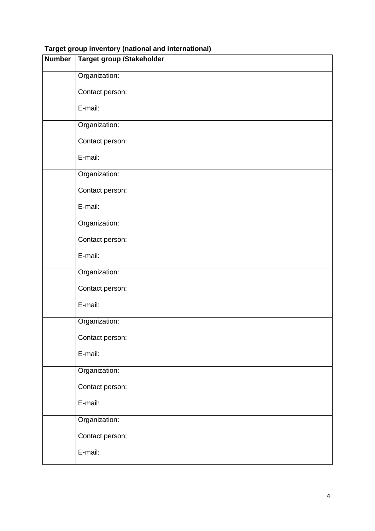| <b>Number</b> | <b>Target group /Stakeholder</b> |
|---------------|----------------------------------|
|               | Organization:                    |
|               | Contact person:                  |
|               | E-mail:                          |
|               | Organization:                    |
|               | Contact person:                  |
|               | E-mail:                          |
|               | Organization:                    |
|               | Contact person:                  |
|               | E-mail:                          |
|               | Organization:                    |
|               | Contact person:                  |
|               | E-mail:                          |
|               | Organization:                    |
|               | Contact person:                  |
|               | E-mail:                          |
|               | Organization:                    |
|               | Contact person:                  |
|               | E-mail:                          |
|               | Organization:                    |
|               | Contact person:                  |
|               | E-mail:                          |
|               | Organization:                    |
|               | Contact person:                  |
|               | E-mail:                          |
|               |                                  |

## **Target group inventory (national and international)**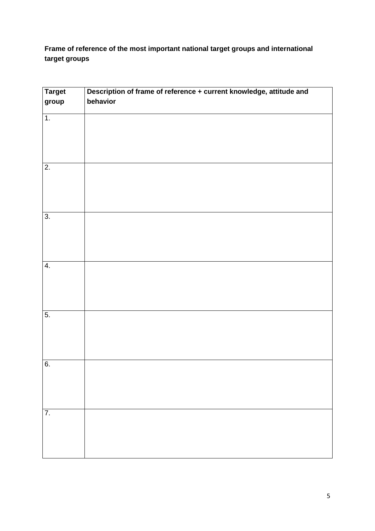### **Frame of reference of the most important national target groups and international target groups**

| <b>Target</b><br>group | Description of frame of reference + current knowledge, attitude and<br>behavior |
|------------------------|---------------------------------------------------------------------------------|
|                        |                                                                                 |
| $\overline{1}$ .       |                                                                                 |
|                        |                                                                                 |
|                        |                                                                                 |
|                        |                                                                                 |
| $\overline{2}$ .       |                                                                                 |
|                        |                                                                                 |
|                        |                                                                                 |
|                        |                                                                                 |
| $\overline{3}$ .       |                                                                                 |
|                        |                                                                                 |
|                        |                                                                                 |
|                        |                                                                                 |
| $\overline{4}$ .       |                                                                                 |
|                        |                                                                                 |
|                        |                                                                                 |
|                        |                                                                                 |
| $\overline{5}$ .       |                                                                                 |
|                        |                                                                                 |
|                        |                                                                                 |
| 6.                     |                                                                                 |
|                        |                                                                                 |
|                        |                                                                                 |
|                        |                                                                                 |
| 7.                     |                                                                                 |
|                        |                                                                                 |
|                        |                                                                                 |
|                        |                                                                                 |
|                        |                                                                                 |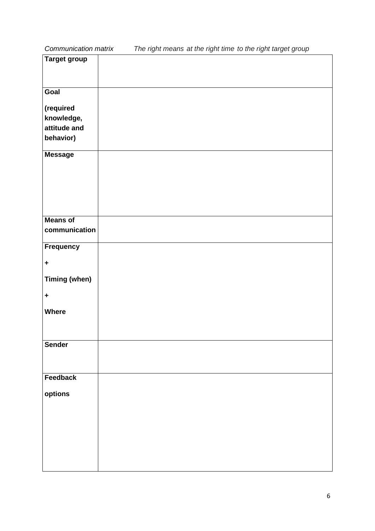*Communication matrix The right means at the right time to the right target group*

| <b>Target group</b>  |  |
|----------------------|--|
|                      |  |
|                      |  |
| Goal                 |  |
|                      |  |
| (required            |  |
| knowledge,           |  |
| attitude and         |  |
| behavior)            |  |
| <b>Message</b>       |  |
|                      |  |
|                      |  |
|                      |  |
|                      |  |
|                      |  |
|                      |  |
| <b>Means of</b>      |  |
| communication        |  |
| <b>Frequency</b>     |  |
|                      |  |
| $\ddot{}$            |  |
| <b>Timing (when)</b> |  |
|                      |  |
| $\pm$                |  |
| <b>Where</b>         |  |
|                      |  |
|                      |  |
|                      |  |
| <b>Sender</b>        |  |
|                      |  |
|                      |  |
| Feedback             |  |
| options              |  |
|                      |  |
|                      |  |
|                      |  |
|                      |  |
|                      |  |
|                      |  |
|                      |  |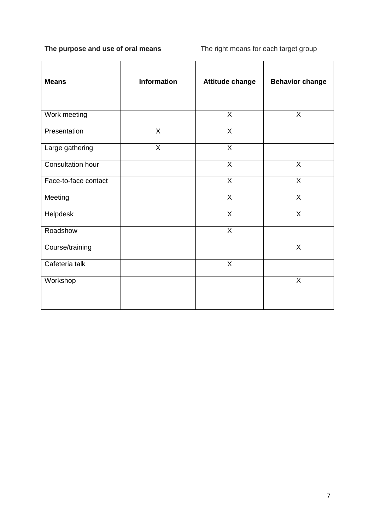## **The purpose and use of oral means** The right means for each target group

| <b>Means</b>         | <b>Information</b> | <b>Attitude change</b> | <b>Behavior change</b> |
|----------------------|--------------------|------------------------|------------------------|
| Work meeting         |                    | X                      | X                      |
| Presentation         | X                  | X                      |                        |
| Large gathering      | $\mathsf{X}$       | $\pmb{\times}$         |                        |
| Consultation hour    |                    | X                      | X                      |
| Face-to-face contact |                    | X                      | $\mathsf{X}$           |
| Meeting              |                    | X                      | X                      |
| Helpdesk             |                    | X                      | $\overline{X}$         |
| Roadshow             |                    | X                      |                        |
| Course/training      |                    |                        | $\mathsf{X}$           |
| Cafeteria talk       |                    | $\pmb{\times}$         |                        |
| Workshop             |                    |                        | X                      |
|                      |                    |                        |                        |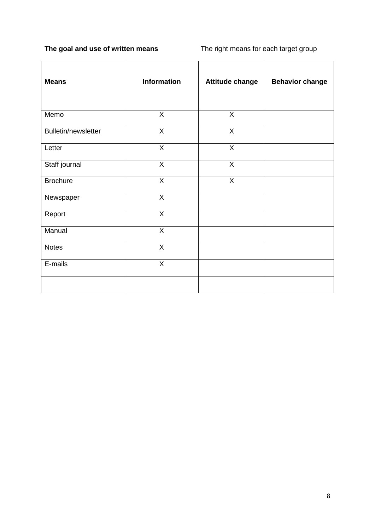# **The goal and use of written means** The right means for each target group

| <b>Means</b>               | Information    | <b>Attitude change</b> | <b>Behavior change</b> |
|----------------------------|----------------|------------------------|------------------------|
| Memo                       | $\mathsf{X}$   | $\mathsf{X}$           |                        |
| <b>Bulletin/newsletter</b> | $\overline{X}$ | $\overline{X}$         |                        |
| Letter                     | $\overline{X}$ | $\overline{X}$         |                        |
| Staff journal              | $\overline{X}$ | $\overline{X}$         |                        |
| <b>Brochure</b>            | $\overline{X}$ | $\overline{X}$         |                        |
| Newspaper                  | $\mathsf{X}$   |                        |                        |
| Report                     | $\overline{X}$ |                        |                        |
| Manual                     | $\overline{X}$ |                        |                        |
| <b>Notes</b>               | $\overline{X}$ |                        |                        |
| E-mails                    | $\mathsf{X}$   |                        |                        |
|                            |                |                        |                        |